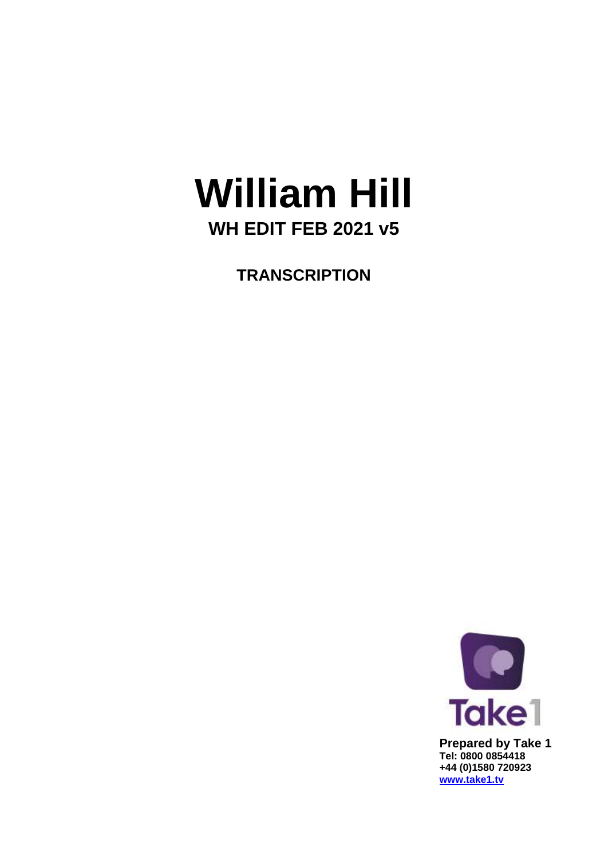## **William Hill WH EDIT FEB 2021 v5**

**TRANSCRIPTION**

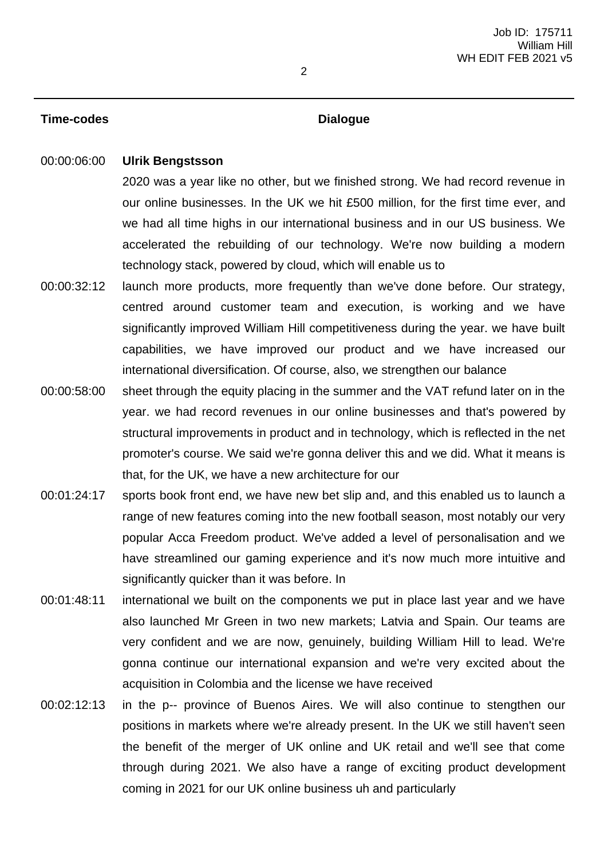## **Time-codes Dialogue**

## 00:00:06:00 **Ulrik Bengstsson**

2020 was a year like no other, but we finished strong. We had record revenue in our online businesses. In the UK we hit £500 million, for the first time ever, and we had all time highs in our international business and in our US business. We accelerated the rebuilding of our technology. We're now building a modern technology stack, powered by cloud, which will enable us to

- 00:00:32:12 launch more products, more frequently than we've done before. Our strategy, centred around customer team and execution, is working and we have significantly improved William Hill competitiveness during the year. we have built capabilities, we have improved our product and we have increased our international diversification. Of course, also, we strengthen our balance
- 00:00:58:00 sheet through the equity placing in the summer and the VAT refund later on in the year. we had record revenues in our online businesses and that's powered by structural improvements in product and in technology, which is reflected in the net promoter's course. We said we're gonna deliver this and we did. What it means is that, for the UK, we have a new architecture for our
- 00:01:24:17 sports book front end, we have new bet slip and, and this enabled us to launch a range of new features coming into the new football season, most notably our very popular Acca Freedom product. We've added a level of personalisation and we have streamlined our gaming experience and it's now much more intuitive and significantly quicker than it was before. In
- 00:01:48:11 international we built on the components we put in place last year and we have also launched Mr Green in two new markets; Latvia and Spain. Our teams are very confident and we are now, genuinely, building William Hill to lead. We're gonna continue our international expansion and we're very excited about the acquisition in Colombia and the license we have received
- 00:02:12:13 in the p-- province of Buenos Aires. We will also continue to stengthen our positions in markets where we're already present. In the UK we still haven't seen the benefit of the merger of UK online and UK retail and we'll see that come through during 2021. We also have a range of exciting product development coming in 2021 for our UK online business uh and particularly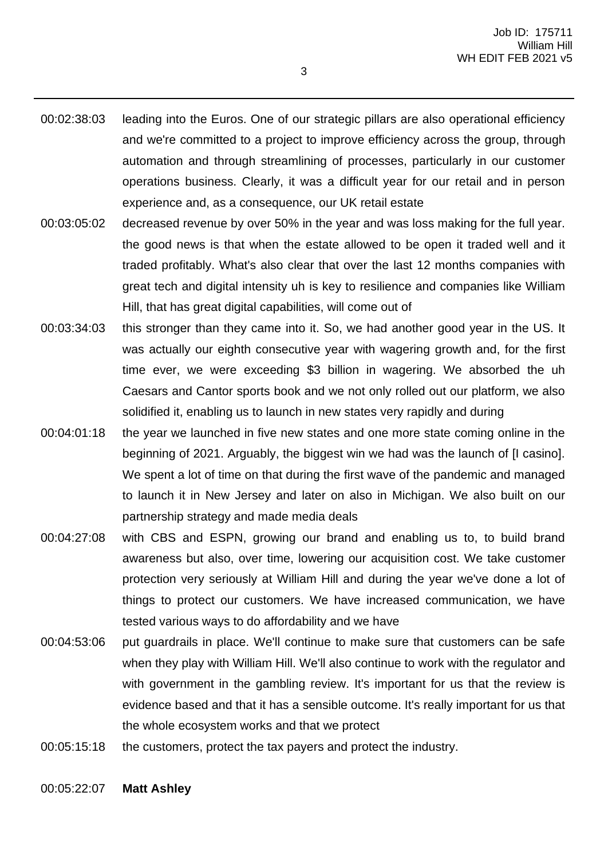- 00:02:38:03 leading into the Euros. One of our strategic pillars are also operational efficiency and we're committed to a project to improve efficiency across the group, through automation and through streamlining of processes, particularly in our customer operations business. Clearly, it was a difficult year for our retail and in person experience and, as a consequence, our UK retail estate
- 00:03:05:02 decreased revenue by over 50% in the year and was loss making for the full year. the good news is that when the estate allowed to be open it traded well and it traded profitably. What's also clear that over the last 12 months companies with great tech and digital intensity uh is key to resilience and companies like William Hill, that has great digital capabilities, will come out of
- 00:03:34:03 this stronger than they came into it. So, we had another good year in the US. It was actually our eighth consecutive year with wagering growth and, for the first time ever, we were exceeding \$3 billion in wagering. We absorbed the uh Caesars and Cantor sports book and we not only rolled out our platform, we also solidified it, enabling us to launch in new states very rapidly and during
- 00:04:01:18 the year we launched in five new states and one more state coming online in the beginning of 2021. Arguably, the biggest win we had was the launch of [I casino]. We spent a lot of time on that during the first wave of the pandemic and managed to launch it in New Jersey and later on also in Michigan. We also built on our partnership strategy and made media deals
- 00:04:27:08 with CBS and ESPN, growing our brand and enabling us to, to build brand awareness but also, over time, lowering our acquisition cost. We take customer protection very seriously at William Hill and during the year we've done a lot of things to protect our customers. We have increased communication, we have tested various ways to do affordability and we have
- 00:04:53:06 put guardrails in place. We'll continue to make sure that customers can be safe when they play with William Hill. We'll also continue to work with the regulator and with government in the gambling review. It's important for us that the review is evidence based and that it has a sensible outcome. It's really important for us that the whole ecosystem works and that we protect
- 00:05:15:18 the customers, protect the tax payers and protect the industry.

00:05:22:07 **Matt Ashley**

3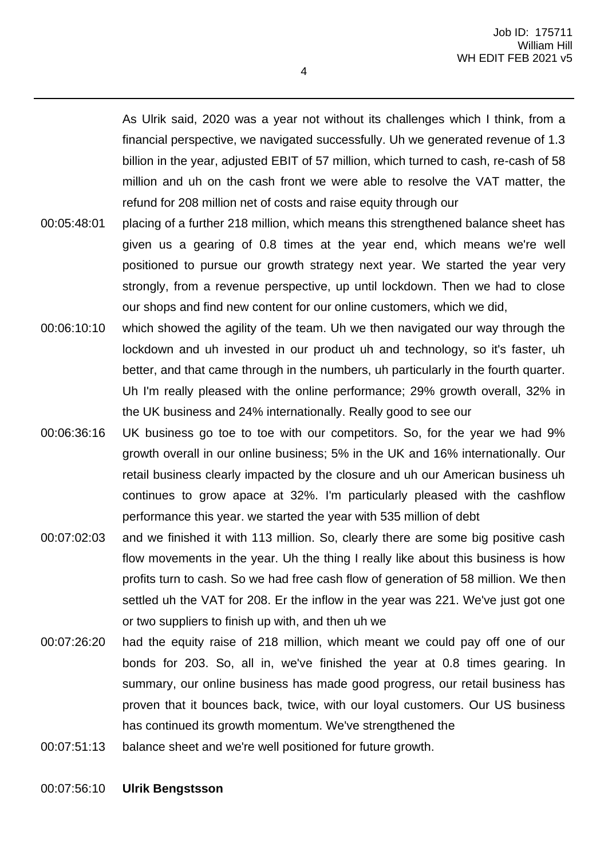As Ulrik said, 2020 was a year not without its challenges which I think, from a financial perspective, we navigated successfully. Uh we generated revenue of 1.3 billion in the year, adjusted EBIT of 57 million, which turned to cash, re-cash of 58 million and uh on the cash front we were able to resolve the VAT matter, the refund for 208 million net of costs and raise equity through our

- 00:05:48:01 placing of a further 218 million, which means this strengthened balance sheet has given us a gearing of 0.8 times at the year end, which means we're well positioned to pursue our growth strategy next year. We started the year very strongly, from a revenue perspective, up until lockdown. Then we had to close our shops and find new content for our online customers, which we did,
- 00:06:10:10 which showed the agility of the team. Uh we then navigated our way through the lockdown and uh invested in our product uh and technology, so it's faster, uh better, and that came through in the numbers, uh particularly in the fourth quarter. Uh I'm really pleased with the online performance; 29% growth overall, 32% in the UK business and 24% internationally. Really good to see our
- 00:06:36:16 UK business go toe to toe with our competitors. So, for the year we had 9% growth overall in our online business; 5% in the UK and 16% internationally. Our retail business clearly impacted by the closure and uh our American business uh continues to grow apace at 32%. I'm particularly pleased with the cashflow performance this year. we started the year with 535 million of debt
- 00:07:02:03 and we finished it with 113 million. So, clearly there are some big positive cash flow movements in the year. Uh the thing I really like about this business is how profits turn to cash. So we had free cash flow of generation of 58 million. We then settled uh the VAT for 208. Er the inflow in the year was 221. We've just got one or two suppliers to finish up with, and then uh we
- 00:07:26:20 had the equity raise of 218 million, which meant we could pay off one of our bonds for 203. So, all in, we've finished the year at 0.8 times gearing. In summary, our online business has made good progress, our retail business has proven that it bounces back, twice, with our loyal customers. Our US business has continued its growth momentum. We've strengthened the
- 00:07:51:13 balance sheet and we're well positioned for future growth.

## 00:07:56:10 **Ulrik Bengstsson**

4